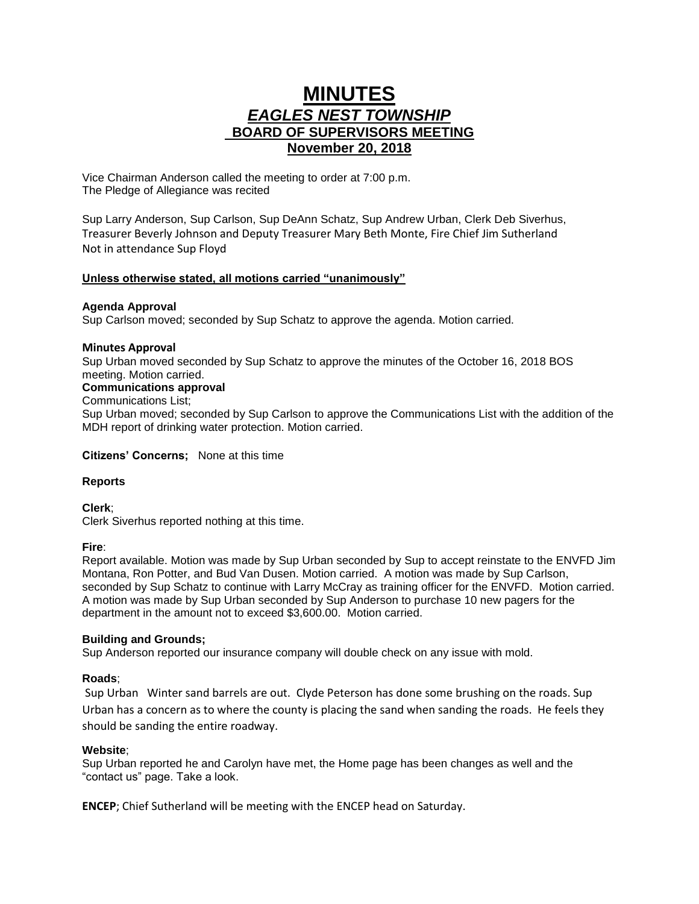# **MINUTES** *EAGLES NEST TOWNSHIP*  **BOARD OF SUPERVISORS MEETING November 20, 2018**

Vice Chairman Anderson called the meeting to order at 7:00 p.m. The Pledge of Allegiance was recited

Sup Larry Anderson, Sup Carlson, Sup DeAnn Schatz, Sup Andrew Urban, Clerk Deb Siverhus, Treasurer Beverly Johnson and Deputy Treasurer Mary Beth Monte, Fire Chief Jim Sutherland Not in attendance Sup Floyd

## **Unless otherwise stated, all motions carried "unanimously"**

## **Agenda Approval**

Sup Carlson moved; seconded by Sup Schatz to approve the agenda. Motion carried.

## **Minutes Approval**

Sup Urban moved seconded by Sup Schatz to approve the minutes of the October 16, 2018 BOS meeting. Motion carried. **Communications approval**

Communications List;

Sup Urban moved; seconded by Sup Carlson to approve the Communications List with the addition of the MDH report of drinking water protection. Motion carried.

**Citizens' Concerns;** None at this time

# **Reports**

**Clerk**; Clerk Siverhus reported nothing at this time.

## **Fire**:

Report available. Motion was made by Sup Urban seconded by Sup to accept reinstate to the ENVFD Jim Montana, Ron Potter, and Bud Van Dusen. Motion carried. A motion was made by Sup Carlson, seconded by Sup Schatz to continue with Larry McCray as training officer for the ENVFD. Motion carried. A motion was made by Sup Urban seconded by Sup Anderson to purchase 10 new pagers for the department in the amount not to exceed \$3,600.00. Motion carried.

## **Building and Grounds;**

Sup Anderson reported our insurance company will double check on any issue with mold.

# **Roads**;

Sup Urban Winter sand barrels are out. Clyde Peterson has done some brushing on the roads. Sup Urban has a concern as to where the county is placing the sand when sanding the roads. He feels they should be sanding the entire roadway.

## **Website**;

Sup Urban reported he and Carolyn have met, the Home page has been changes as well and the "contact us" page. Take a look.

**ENCEP**; Chief Sutherland will be meeting with the ENCEP head on Saturday.